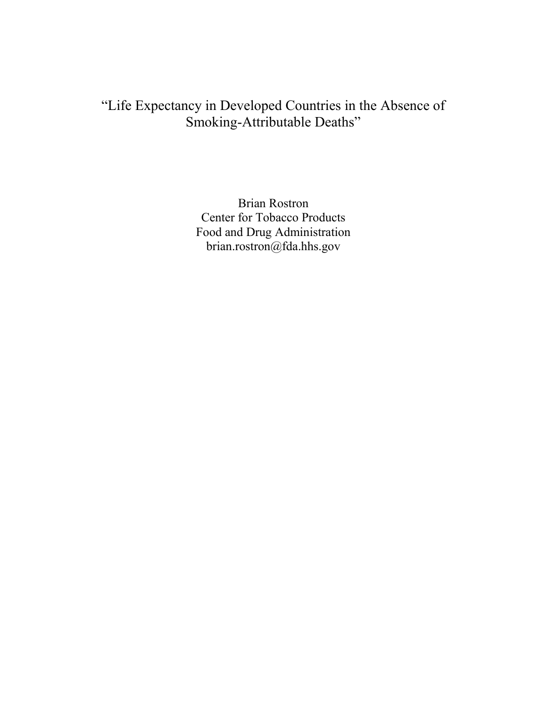# "Life Expectancy in Developed Countries in the Absence of Smoking-Attributable Deaths"

Brian Rostron Center for Tobacco Products Food and Drug Administration brian.rostron@fda.hhs.gov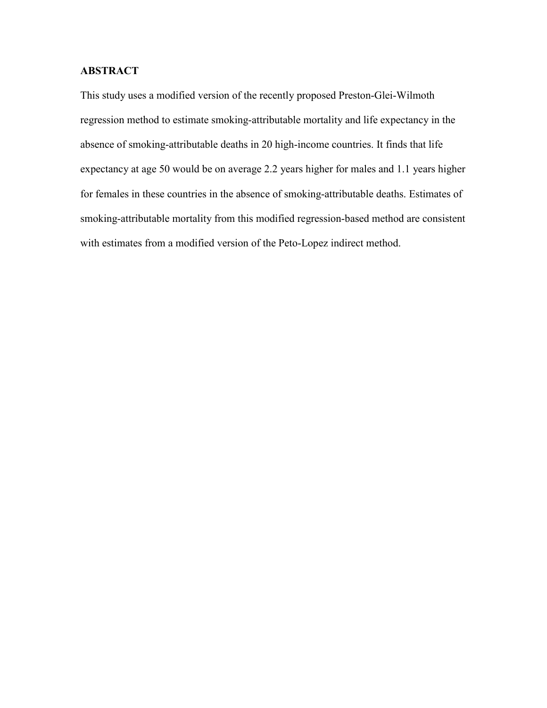# **ABSTRACT**

This study uses a modified version of the recently proposed Preston-Glei-Wilmoth regression method to estimate smoking-attributable mortality and life expectancy in the absence of smoking-attributable deaths in 20 high-income countries. It finds that life expectancy at age 50 would be on average 2.2 years higher for males and 1.1 years higher for females in these countries in the absence of smoking-attributable deaths. Estimates of smoking-attributable mortality from this modified regression-based method are consistent with estimates from a modified version of the Peto-Lopez indirect method.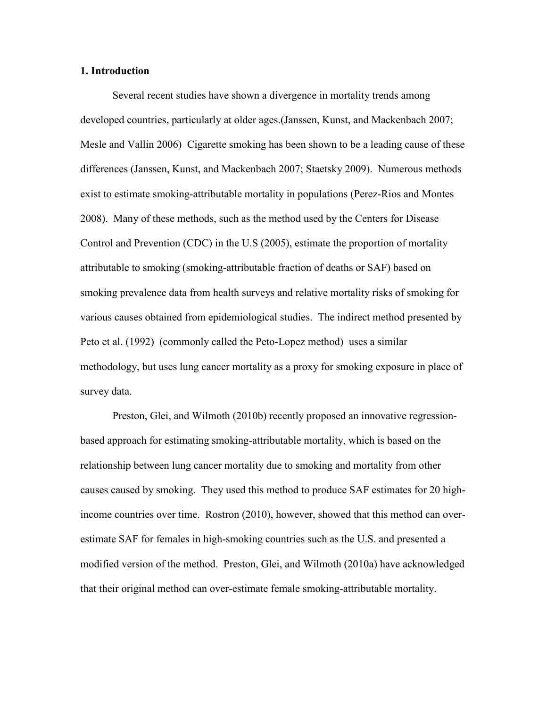# **1. Introduction**

 Several recent studies have shown a divergence in mortality trends among developed countries, particularly at older ages.(Janssen, Kunst, and Mackenbach 2007; Mesle and Vallin 2006) Cigarette smoking has been shown to be a leading cause of these differences (Janssen, Kunst, and Mackenbach 2007; Staetsky 2009). Numerous methods exist to estimate smoking-attributable mortality in populations (Perez-Rios and Montes 2008). Many of these methods, such as the method used by the Centers for Disease Control and Prevention (CDC) in the U.S (2005), estimate the proportion of mortality attributable to smoking (smoking-attributable fraction of deaths or SAF) based on smoking prevalence data from health surveys and relative mortality risks of smoking for various causes obtained from epidemiological studies. The indirect method presented by Peto et al. (1992) (commonly called the Peto-Lopez method) uses a similar methodology, but uses lung cancer mortality as a proxy for smoking exposure in place of survey data.

Preston, Glei, and Wilmoth (2010b) recently proposed an innovative regressionbased approach for estimating smoking-attributable mortality, which is based on the relationship between lung cancer mortality due to smoking and mortality from other causes caused by smoking. They used this method to produce SAF estimates for 20 highincome countries over time. Rostron (2010), however, showed that this method can overestimate SAF for females in high-smoking countries such as the U.S. and presented a modified version of the method. Preston, Glei, and Wilmoth (2010a) have acknowledged that their original method can over-estimate female smoking-attributable mortality.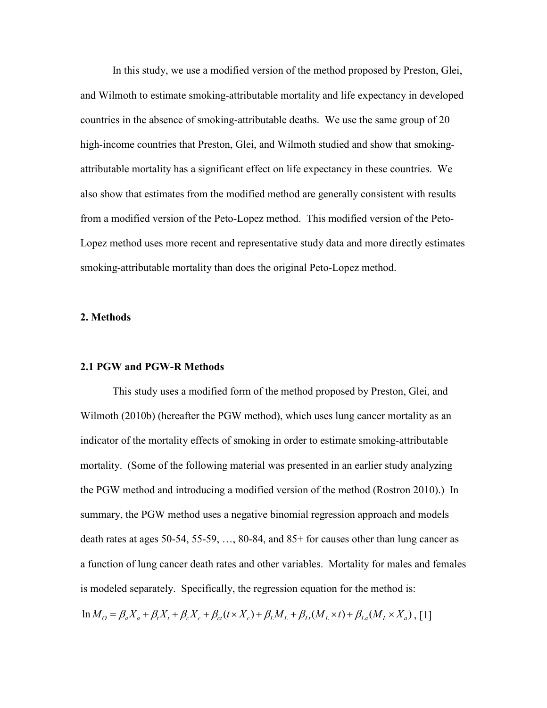In this study, we use a modified version of the method proposed by Preston, Glei, and Wilmoth to estimate smoking-attributable mortality and life expectancy in developed countries in the absence of smoking-attributable deaths. We use the same group of 20 high-income countries that Preston, Glei, and Wilmoth studied and show that smokingattributable mortality has a significant effect on life expectancy in these countries. We also show that estimates from the modified method are generally consistent with results from a modified version of the Peto-Lopez method. This modified version of the Peto-Lopez method uses more recent and representative study data and more directly estimates smoking-attributable mortality than does the original Peto-Lopez method.

#### **2. Methods**

#### **2.1 PGW and PGW-R Methods**

 This study uses a modified form of the method proposed by Preston, Glei, and Wilmoth (2010b) (hereafter the PGW method), which uses lung cancer mortality as an indicator of the mortality effects of smoking in order to estimate smoking-attributable mortality. (Some of the following material was presented in an earlier study analyzing the PGW method and introducing a modified version of the method (Rostron 2010).) In summary, the PGW method uses a negative binomial regression approach and models death rates at ages 50-54, 55-59, …, 80-84, and 85+ for causes other than lung cancer as a function of lung cancer death rates and other variables. Mortality for males and females is modeled separately. Specifically, the regression equation for the method is:

 $\ln M_o = \beta_a X_a + \beta_c X_t + \beta_c X_c + \beta_c (t \times X_c) + \beta_t M_t + \beta_{tt} (M_t \times t) + \beta_{ta} (M_t \times X_a)$ , [1]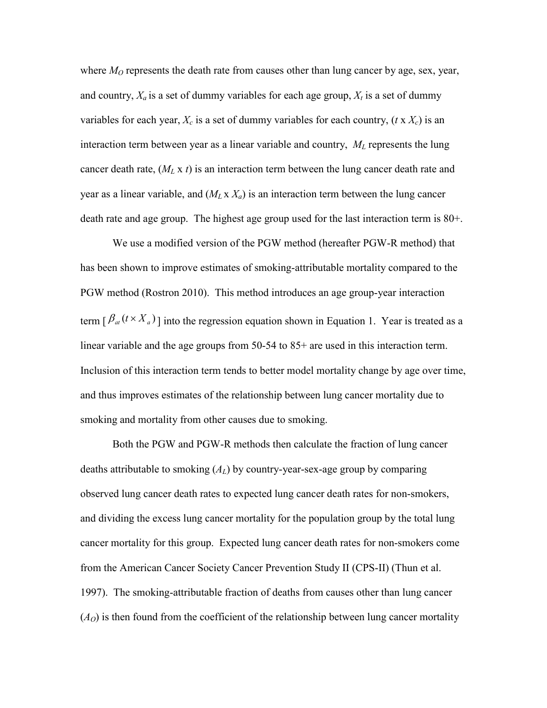where  $M<sub>O</sub>$  represents the death rate from causes other than lung cancer by age, sex, year, and country,  $X_a$  is a set of dummy variables for each age group,  $X_t$  is a set of dummy variables for each year,  $X_c$  is a set of dummy variables for each country,  $(t \times X_c)$  is an interaction term between year as a linear variable and country, *ML* represents the lung cancer death rate, (*ML* x *t*) is an interaction term between the lung cancer death rate and year as a linear variable, and  $(M_L \times X_a)$  is an interaction term between the lung cancer death rate and age group. The highest age group used for the last interaction term is 80+.

 We use a modified version of the PGW method (hereafter PGW-R method) that has been shown to improve estimates of smoking-attributable mortality compared to the PGW method (Rostron 2010). This method introduces an age group-year interaction term  $[\beta_{at} (t \times X_a)]$  into the regression equation shown in Equation 1. Year is treated as a linear variable and the age groups from 50-54 to 85+ are used in this interaction term. Inclusion of this interaction term tends to better model mortality change by age over time, and thus improves estimates of the relationship between lung cancer mortality due to smoking and mortality from other causes due to smoking.

 Both the PGW and PGW-R methods then calculate the fraction of lung cancer deaths attributable to smoking (*AL*) by country-year-sex-age group by comparing observed lung cancer death rates to expected lung cancer death rates for non-smokers, and dividing the excess lung cancer mortality for the population group by the total lung cancer mortality for this group. Expected lung cancer death rates for non-smokers come from the American Cancer Society Cancer Prevention Study II (CPS-II) (Thun et al. 1997). The smoking-attributable fraction of deaths from causes other than lung cancer  $(A<sub>O</sub>)$  is then found from the coefficient of the relationship between lung cancer mortality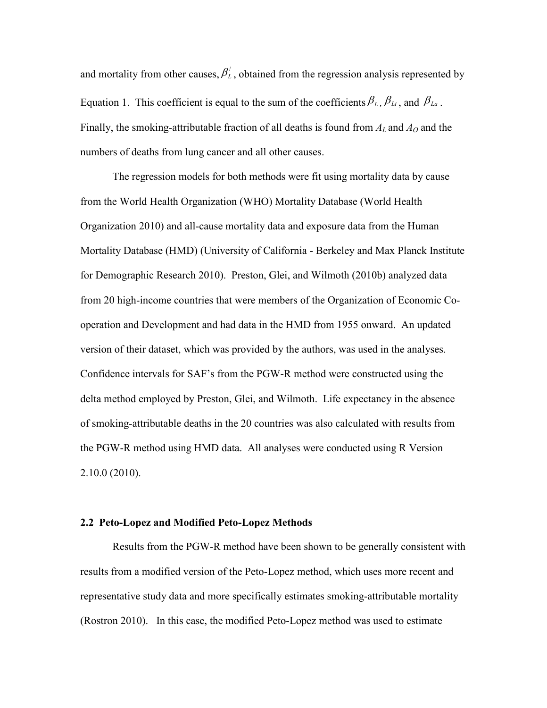and mortality from other causes,  $\beta'_{\scriptscriptstyle L}$ , obtained from the regression analysis represented by Equation 1. This coefficient is equal to the sum of the coefficients  $\beta_L$ ,  $\beta_L$ , and  $\beta_L$ . Finally, the smoking-attributable fraction of all deaths is found from  $A_L$  and  $A_O$  and the numbers of deaths from lung cancer and all other causes.

 The regression models for both methods were fit using mortality data by cause from the World Health Organization (WHO) Mortality Database (World Health Organization 2010) and all-cause mortality data and exposure data from the Human Mortality Database (HMD) (University of California - Berkeley and Max Planck Institute for Demographic Research 2010). Preston, Glei, and Wilmoth (2010b) analyzed data from 20 high-income countries that were members of the Organization of Economic Cooperation and Development and had data in the HMD from 1955 onward. An updated version of their dataset, which was provided by the authors, was used in the analyses. Confidence intervals for SAF's from the PGW-R method were constructed using the delta method employed by Preston, Glei, and Wilmoth. Life expectancy in the absence of smoking-attributable deaths in the 20 countries was also calculated with results from the PGW-R method using HMD data. All analyses were conducted using R Version 2.10.0 (2010).

## **2.2 Peto-Lopez and Modified Peto-Lopez Methods**

 Results from the PGW-R method have been shown to be generally consistent with results from a modified version of the Peto-Lopez method, which uses more recent and representative study data and more specifically estimates smoking-attributable mortality (Rostron 2010). In this case, the modified Peto-Lopez method was used to estimate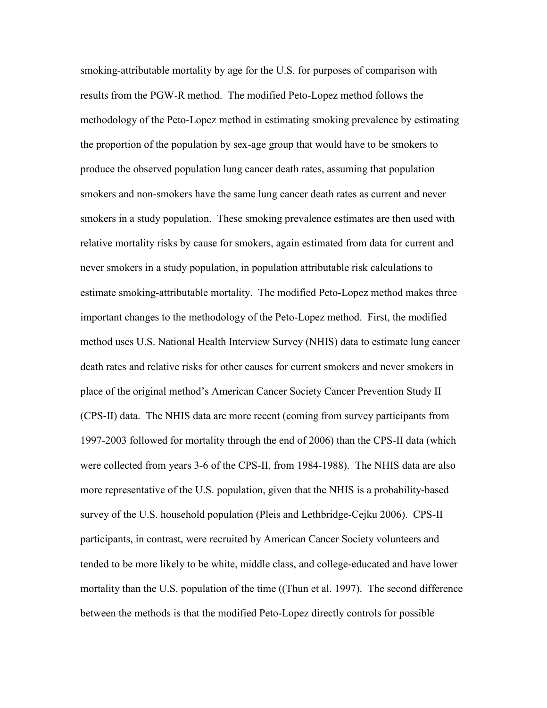smoking-attributable mortality by age for the U.S. for purposes of comparison with results from the PGW-R method. The modified Peto-Lopez method follows the methodology of the Peto-Lopez method in estimating smoking prevalence by estimating the proportion of the population by sex-age group that would have to be smokers to produce the observed population lung cancer death rates, assuming that population smokers and non-smokers have the same lung cancer death rates as current and never smokers in a study population. These smoking prevalence estimates are then used with relative mortality risks by cause for smokers, again estimated from data for current and never smokers in a study population, in population attributable risk calculations to estimate smoking-attributable mortality. The modified Peto-Lopez method makes three important changes to the methodology of the Peto-Lopez method. First, the modified method uses U.S. National Health Interview Survey (NHIS) data to estimate lung cancer death rates and relative risks for other causes for current smokers and never smokers in place of the original method's American Cancer Society Cancer Prevention Study II (CPS-II) data. The NHIS data are more recent (coming from survey participants from 1997-2003 followed for mortality through the end of 2006) than the CPS-II data (which were collected from years 3-6 of the CPS-II, from 1984-1988). The NHIS data are also more representative of the U.S. population, given that the NHIS is a probability-based survey of the U.S. household population (Pleis and Lethbridge-Cejku 2006). CPS-II participants, in contrast, were recruited by American Cancer Society volunteers and tended to be more likely to be white, middle class, and college-educated and have lower mortality than the U.S. population of the time ((Thun et al. 1997). The second difference between the methods is that the modified Peto-Lopez directly controls for possible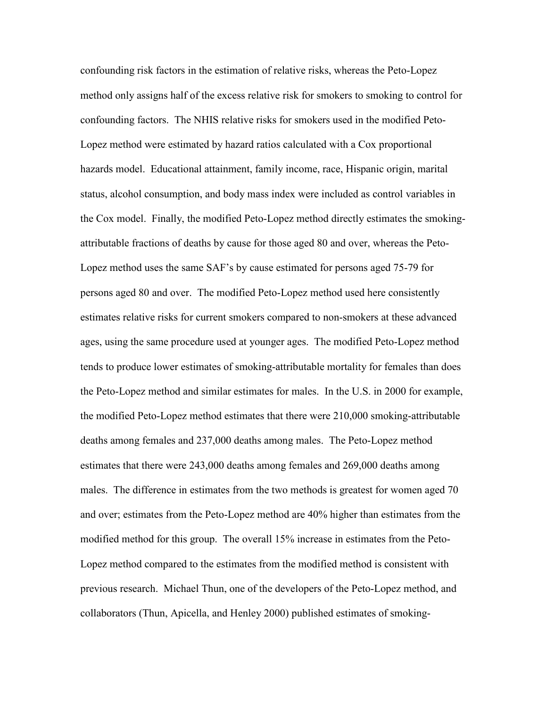confounding risk factors in the estimation of relative risks, whereas the Peto-Lopez method only assigns half of the excess relative risk for smokers to smoking to control for confounding factors. The NHIS relative risks for smokers used in the modified Peto-Lopez method were estimated by hazard ratios calculated with a Cox proportional hazards model. Educational attainment, family income, race, Hispanic origin, marital status, alcohol consumption, and body mass index were included as control variables in the Cox model. Finally, the modified Peto-Lopez method directly estimates the smokingattributable fractions of deaths by cause for those aged 80 and over, whereas the Peto-Lopez method uses the same SAF's by cause estimated for persons aged 75-79 for persons aged 80 and over. The modified Peto-Lopez method used here consistently estimates relative risks for current smokers compared to non-smokers at these advanced ages, using the same procedure used at younger ages. The modified Peto-Lopez method tends to produce lower estimates of smoking-attributable mortality for females than does the Peto-Lopez method and similar estimates for males. In the U.S. in 2000 for example, the modified Peto-Lopez method estimates that there were 210,000 smoking-attributable deaths among females and 237,000 deaths among males. The Peto-Lopez method estimates that there were 243,000 deaths among females and 269,000 deaths among males. The difference in estimates from the two methods is greatest for women aged 70 and over; estimates from the Peto-Lopez method are 40% higher than estimates from the modified method for this group. The overall 15% increase in estimates from the Peto-Lopez method compared to the estimates from the modified method is consistent with previous research. Michael Thun, one of the developers of the Peto-Lopez method, and collaborators (Thun, Apicella, and Henley 2000) published estimates of smoking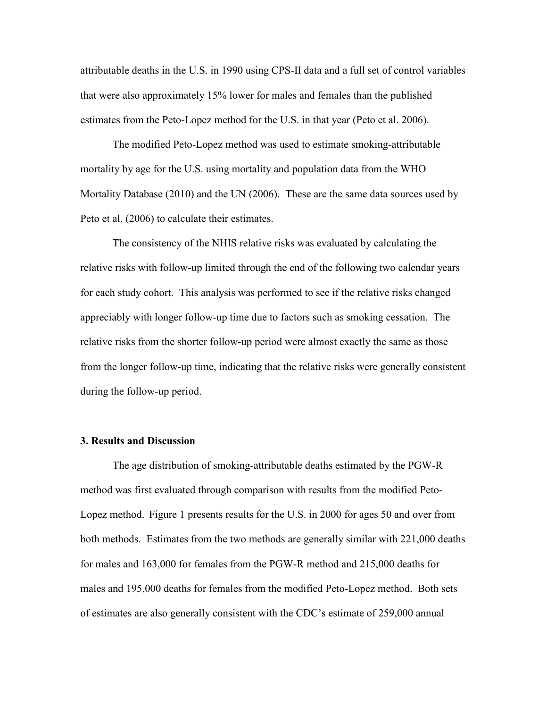attributable deaths in the U.S. in 1990 using CPS-II data and a full set of control variables that were also approximately 15% lower for males and females than the published estimates from the Peto-Lopez method for the U.S. in that year (Peto et al. 2006).

 The modified Peto-Lopez method was used to estimate smoking-attributable mortality by age for the U.S. using mortality and population data from the WHO Mortality Database (2010) and the UN (2006). These are the same data sources used by Peto et al. (2006) to calculate their estimates.

 The consistency of the NHIS relative risks was evaluated by calculating the relative risks with follow-up limited through the end of the following two calendar years for each study cohort. This analysis was performed to see if the relative risks changed appreciably with longer follow-up time due to factors such as smoking cessation. The relative risks from the shorter follow-up period were almost exactly the same as those from the longer follow-up time, indicating that the relative risks were generally consistent during the follow-up period.

# **3. Results and Discussion**

The age distribution of smoking-attributable deaths estimated by the PGW-R method was first evaluated through comparison with results from the modified Peto-Lopez method. Figure 1 presents results for the U.S. in 2000 for ages 50 and over from both methods. Estimates from the two methods are generally similar with 221,000 deaths for males and 163,000 for females from the PGW-R method and 215,000 deaths for males and 195,000 deaths for females from the modified Peto-Lopez method. Both sets of estimates are also generally consistent with the CDC's estimate of 259,000 annual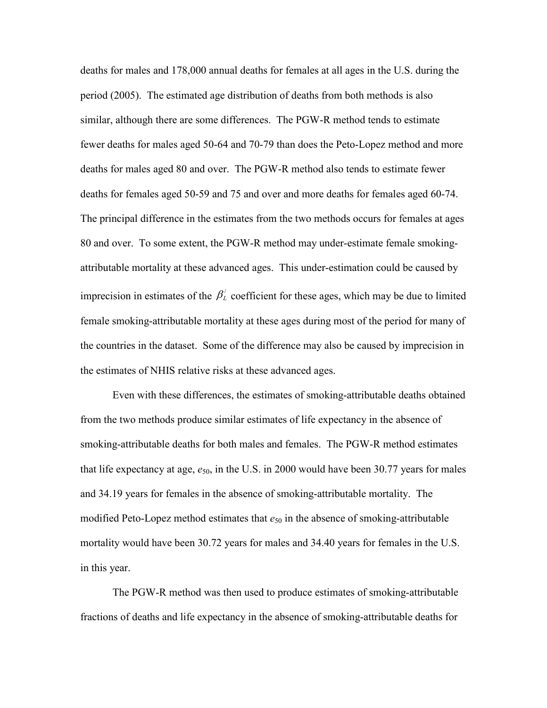deaths for males and 178,000 annual deaths for females at all ages in the U.S. during the period (2005). The estimated age distribution of deaths from both methods is also similar, although there are some differences. The PGW-R method tends to estimate fewer deaths for males aged 50-64 and 70-79 than does the Peto-Lopez method and more deaths for males aged 80 and over. The PGW-R method also tends to estimate fewer deaths for females aged 50-59 and 75 and over and more deaths for females aged 60-74. The principal difference in the estimates from the two methods occurs for females at ages 80 and over. To some extent, the PGW-R method may under-estimate female smokingattributable mortality at these advanced ages. This under-estimation could be caused by imprecision in estimates of the  $\beta'_{\scriptscriptstyle\perp}$  coefficient for these ages, which may be due to limited female smoking-attributable mortality at these ages during most of the period for many of the countries in the dataset. Some of the difference may also be caused by imprecision in the estimates of NHIS relative risks at these advanced ages.

Even with these differences, the estimates of smoking-attributable deaths obtained from the two methods produce similar estimates of life expectancy in the absence of smoking-attributable deaths for both males and females. The PGW-R method estimates that life expectancy at age,  $e_{50}$ , in the U.S. in 2000 would have been 30.77 years for males and 34.19 years for females in the absence of smoking-attributable mortality. The modified Peto-Lopez method estimates that  $e_{50}$  in the absence of smoking-attributable mortality would have been 30.72 years for males and 34.40 years for females in the U.S. in this year.

 The PGW-R method was then used to produce estimates of smoking-attributable fractions of deaths and life expectancy in the absence of smoking-attributable deaths for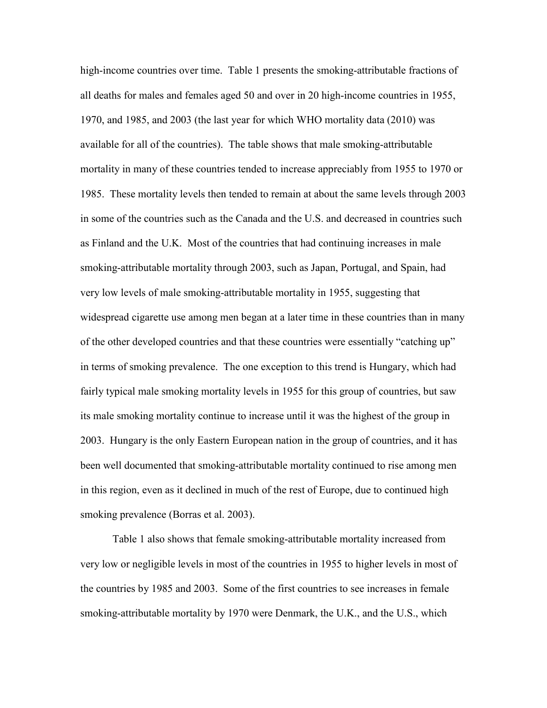high-income countries over time. Table 1 presents the smoking-attributable fractions of all deaths for males and females aged 50 and over in 20 high-income countries in 1955, 1970, and 1985, and 2003 (the last year for which WHO mortality data (2010) was available for all of the countries). The table shows that male smoking-attributable mortality in many of these countries tended to increase appreciably from 1955 to 1970 or 1985. These mortality levels then tended to remain at about the same levels through 2003 in some of the countries such as the Canada and the U.S. and decreased in countries such as Finland and the U.K. Most of the countries that had continuing increases in male smoking-attributable mortality through 2003, such as Japan, Portugal, and Spain, had very low levels of male smoking-attributable mortality in 1955, suggesting that widespread cigarette use among men began at a later time in these countries than in many of the other developed countries and that these countries were essentially "catching up" in terms of smoking prevalence. The one exception to this trend is Hungary, which had fairly typical male smoking mortality levels in 1955 for this group of countries, but saw its male smoking mortality continue to increase until it was the highest of the group in 2003. Hungary is the only Eastern European nation in the group of countries, and it has been well documented that smoking-attributable mortality continued to rise among men in this region, even as it declined in much of the rest of Europe, due to continued high smoking prevalence (Borras et al. 2003).

Table 1 also shows that female smoking-attributable mortality increased from very low or negligible levels in most of the countries in 1955 to higher levels in most of the countries by 1985 and 2003. Some of the first countries to see increases in female smoking-attributable mortality by 1970 were Denmark, the U.K., and the U.S., which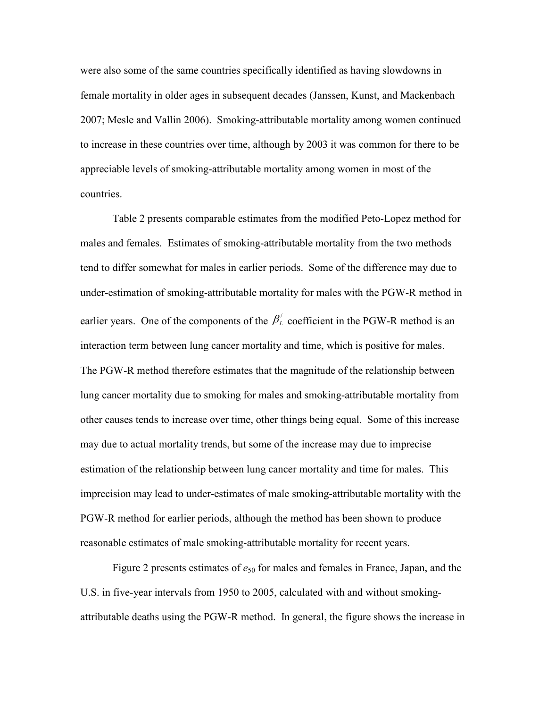were also some of the same countries specifically identified as having slowdowns in female mortality in older ages in subsequent decades (Janssen, Kunst, and Mackenbach 2007; Mesle and Vallin 2006). Smoking-attributable mortality among women continued to increase in these countries over time, although by 2003 it was common for there to be appreciable levels of smoking-attributable mortality among women in most of the countries.

Table 2 presents comparable estimates from the modified Peto-Lopez method for males and females. Estimates of smoking-attributable mortality from the two methods tend to differ somewhat for males in earlier periods. Some of the difference may due to under-estimation of smoking-attributable mortality for males with the PGW-R method in earlier years. One of the components of the  $\beta_L^{\prime}$  coefficient in the PGW-R method is an interaction term between lung cancer mortality and time, which is positive for males. The PGW-R method therefore estimates that the magnitude of the relationship between lung cancer mortality due to smoking for males and smoking-attributable mortality from other causes tends to increase over time, other things being equal. Some of this increase may due to actual mortality trends, but some of the increase may due to imprecise estimation of the relationship between lung cancer mortality and time for males. This imprecision may lead to under-estimates of male smoking-attributable mortality with the PGW-R method for earlier periods, although the method has been shown to produce reasonable estimates of male smoking-attributable mortality for recent years.

Figure 2 presents estimates of  $e_{50}$  for males and females in France, Japan, and the U.S. in five-year intervals from 1950 to 2005, calculated with and without smokingattributable deaths using the PGW-R method. In general, the figure shows the increase in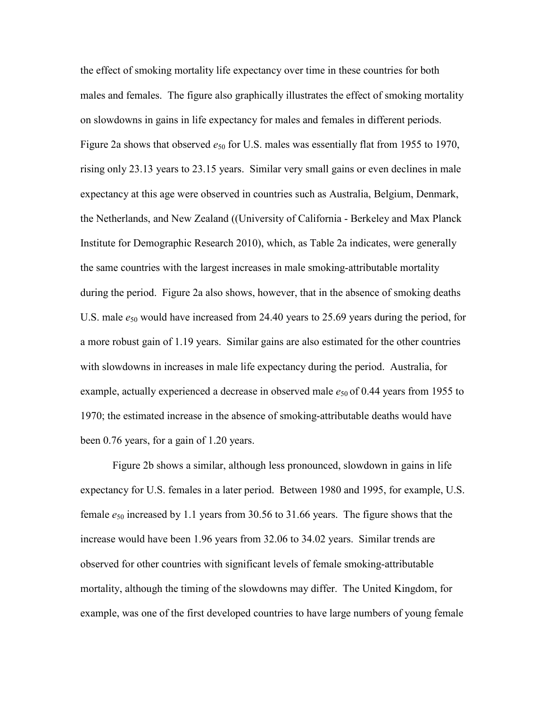the effect of smoking mortality life expectancy over time in these countries for both males and females. The figure also graphically illustrates the effect of smoking mortality on slowdowns in gains in life expectancy for males and females in different periods. Figure 2a shows that observed  $e_{50}$  for U.S. males was essentially flat from 1955 to 1970, rising only 23.13 years to 23.15 years. Similar very small gains or even declines in male expectancy at this age were observed in countries such as Australia, Belgium, Denmark, the Netherlands, and New Zealand ((University of California - Berkeley and Max Planck Institute for Demographic Research 2010), which, as Table 2a indicates, were generally the same countries with the largest increases in male smoking-attributable mortality during the period. Figure 2a also shows, however, that in the absence of smoking deaths U.S. male  $e_{50}$  would have increased from 24.40 years to 25.69 years during the period, for a more robust gain of 1.19 years. Similar gains are also estimated for the other countries with slowdowns in increases in male life expectancy during the period. Australia, for example, actually experienced a decrease in observed male  $e_{50}$  of 0.44 years from 1955 to 1970; the estimated increase in the absence of smoking-attributable deaths would have been 0.76 years, for a gain of 1.20 years.

Figure 2b shows a similar, although less pronounced, slowdown in gains in life expectancy for U.S. females in a later period. Between 1980 and 1995, for example, U.S. female *e*50 increased by 1.1 years from 30.56 to 31.66 years. The figure shows that the increase would have been 1.96 years from 32.06 to 34.02 years. Similar trends are observed for other countries with significant levels of female smoking-attributable mortality, although the timing of the slowdowns may differ. The United Kingdom, for example, was one of the first developed countries to have large numbers of young female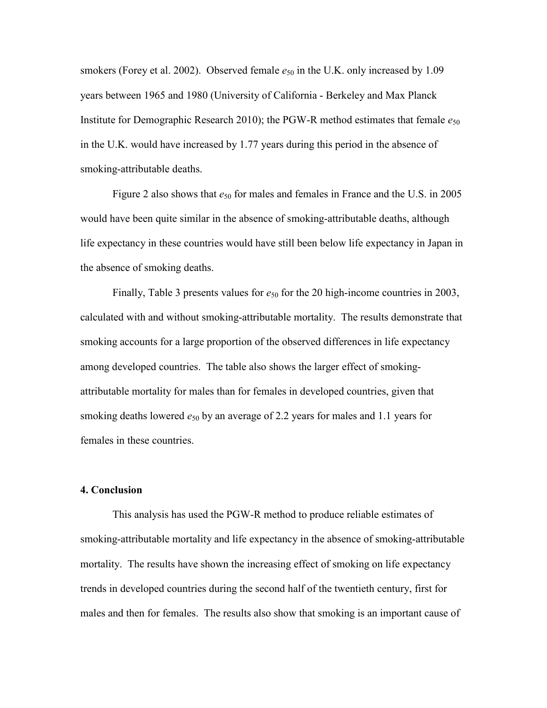smokers (Forey et al. 2002). Observed female  $e_{50}$  in the U.K. only increased by 1.09 years between 1965 and 1980 (University of California - Berkeley and Max Planck Institute for Demographic Research 2010); the PGW-R method estimates that female  $e_{50}$ in the U.K. would have increased by 1.77 years during this period in the absence of smoking-attributable deaths.

Figure 2 also shows that  $e_{50}$  for males and females in France and the U.S. in 2005 would have been quite similar in the absence of smoking-attributable deaths, although life expectancy in these countries would have still been below life expectancy in Japan in the absence of smoking deaths.

Finally, Table 3 presents values for  $e_{50}$  for the 20 high-income countries in 2003, calculated with and without smoking-attributable mortality. The results demonstrate that smoking accounts for a large proportion of the observed differences in life expectancy among developed countries. The table also shows the larger effect of smokingattributable mortality for males than for females in developed countries, given that smoking deaths lowered  $e_{50}$  by an average of 2.2 years for males and 1.1 years for females in these countries.

## **4. Conclusion**

This analysis has used the PGW-R method to produce reliable estimates of smoking-attributable mortality and life expectancy in the absence of smoking-attributable mortality. The results have shown the increasing effect of smoking on life expectancy trends in developed countries during the second half of the twentieth century, first for males and then for females. The results also show that smoking is an important cause of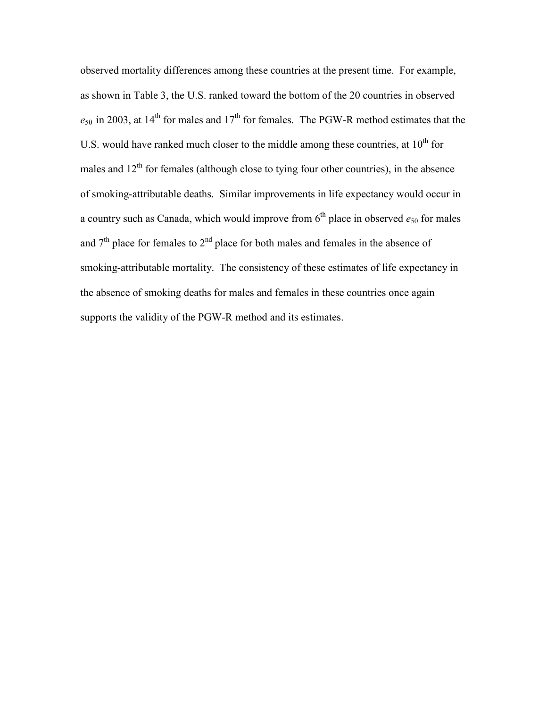observed mortality differences among these countries at the present time. For example, as shown in Table 3, the U.S. ranked toward the bottom of the 20 countries in observed  $e_{50}$  in 2003, at 14<sup>th</sup> for males and 17<sup>th</sup> for females. The PGW-R method estimates that the U.S. would have ranked much closer to the middle among these countries, at  $10<sup>th</sup>$  for males and  $12<sup>th</sup>$  for females (although close to tying four other countries), in the absence of smoking-attributable deaths. Similar improvements in life expectancy would occur in a country such as Canada, which would improve from  $6<sup>th</sup>$  place in observed  $e_{50}$  for males and  $7<sup>th</sup>$  place for females to  $2<sup>nd</sup>$  place for both males and females in the absence of smoking-attributable mortality. The consistency of these estimates of life expectancy in the absence of smoking deaths for males and females in these countries once again supports the validity of the PGW-R method and its estimates.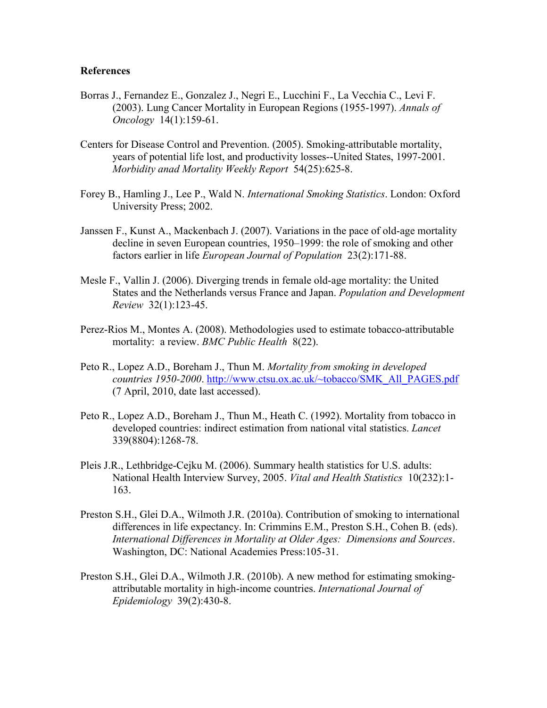# **References**

- Borras J., Fernandez E., Gonzalez J., Negri E., Lucchini F., La Vecchia C., Levi F. (2003). Lung Cancer Mortality in European Regions (1955-1997). *Annals of Oncology* 14(1):159-61.
- Centers for Disease Control and Prevention. (2005). Smoking-attributable mortality, years of potential life lost, and productivity losses--United States, 1997-2001. *Morbidity anad Mortality Weekly Report* 54(25):625-8.
- Forey B., Hamling J., Lee P., Wald N. *International Smoking Statistics*. London: Oxford University Press; 2002.
- Janssen F., Kunst A., Mackenbach J. (2007). Variations in the pace of old-age mortality decline in seven European countries, 1950–1999: the role of smoking and other factors earlier in life *European Journal of Population* 23(2):171-88.
- Mesle F., Vallin J. (2006). Diverging trends in female old-age mortality: the United States and the Netherlands versus France and Japan. *Population and Development Review* 32(1):123-45.
- Perez-Rios M., Montes A. (2008). Methodologies used to estimate tobacco-attributable mortality: a review. *BMC Public Health* 8(22).
- Peto R., Lopez A.D., Boreham J., Thun M. *Mortality from smoking in developed countries 1950-2000*. [http://www.ctsu.ox.ac.uk/~tobacco/SMK\\_All\\_PAGES.pdf](http://www.ctsu.ox.ac.uk/~tobacco/SMK_All_PAGES.pdf) (7 April, 2010, date last accessed).
- Peto R., Lopez A.D., Boreham J., Thun M., Heath C. (1992). Mortality from tobacco in developed countries: indirect estimation from national vital statistics. *Lancet*  339(8804):1268-78.
- Pleis J.R., Lethbridge-Cejku M. (2006). Summary health statistics for U.S. adults: National Health Interview Survey, 2005. *Vital and Health Statistics* 10(232):1- 163.
- Preston S.H., Glei D.A., Wilmoth J.R. (2010a). Contribution of smoking to international differences in life expectancy. In: Crimmins E.M., Preston S.H., Cohen B. (eds). *International Differences in Mortality at Older Ages: Dimensions and Sources*. Washington, DC: National Academies Press:105-31.
- Preston S.H., Glei D.A., Wilmoth J.R. (2010b). A new method for estimating smokingattributable mortality in high-income countries. *International Journal of Epidemiology* 39(2):430-8.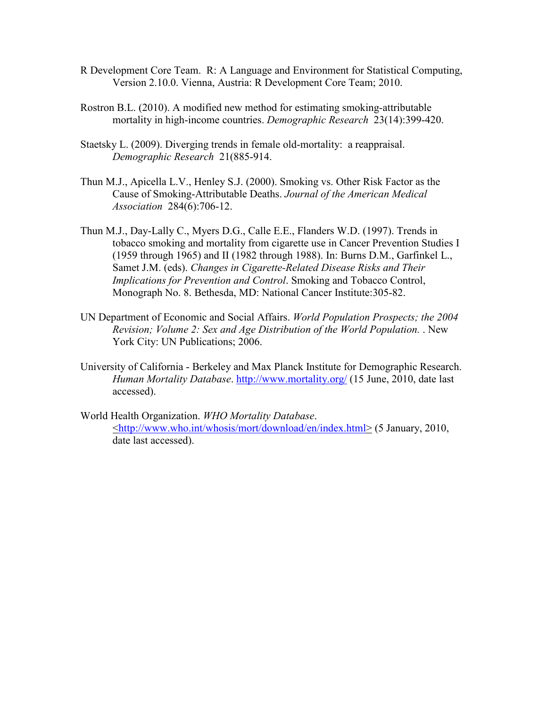- R Development Core Team. R: A Language and Environment for Statistical Computing, Version 2.10.0. Vienna, Austria: R Development Core Team; 2010.
- Rostron B.L. (2010). A modified new method for estimating smoking-attributable mortality in high-income countries. *Demographic Research* 23(14):399-420.
- Staetsky L. (2009). Diverging trends in female old-mortality: a reappraisal. *Demographic Research* 21(885-914.
- Thun M.J., Apicella L.V., Henley S.J. (2000). Smoking vs. Other Risk Factor as the Cause of Smoking-Attributable Deaths. *Journal of the American Medical Association* 284(6):706-12.
- Thun M.J., Day-Lally C., Myers D.G., Calle E.E., Flanders W.D. (1997). Trends in tobacco smoking and mortality from cigarette use in Cancer Prevention Studies I (1959 through 1965) and II (1982 through 1988). In: Burns D.M., Garfinkel L., Samet J.M. (eds). *Changes in Cigarette-Related Disease Risks and Their Implications for Prevention and Control*. Smoking and Tobacco Control, Monograph No. 8. Bethesda, MD: National Cancer Institute:305-82.
- UN Department of Economic and Social Affairs. *World Population Prospects; the 2004 Revision; Volume 2: Sex and Age Distribution of the World Population.* . New York City: UN Publications; 2006.
- University of California Berkeley and Max Planck Institute for Demographic Research. *Human Mortality Database*. [http://www.mortality.org](http://www.mortality.org/)/ (15 June, 2010, date last accessed).
- World Health Organization. *WHO Mortality Database*. <<http://www.who.int/whosis/mort/download/en/index.html>> (5 January, 2010, date last accessed).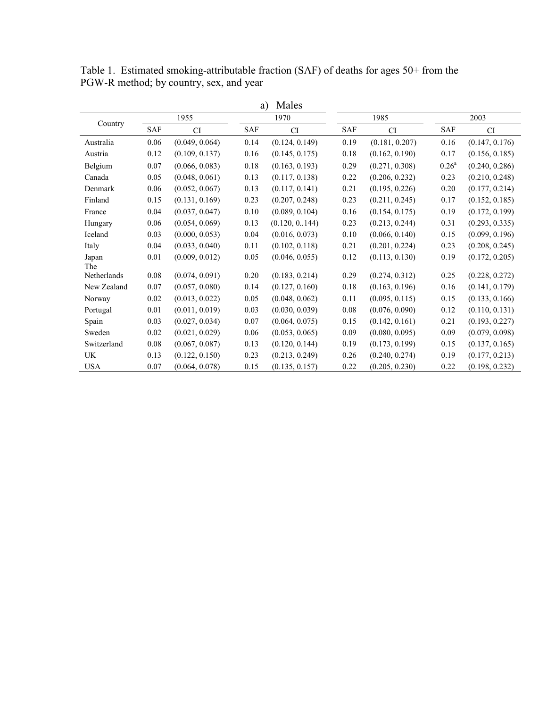| Country     |          | 1955           |            | 1970           |            | 1985           |                   | 2003           |  |
|-------------|----------|----------------|------------|----------------|------------|----------------|-------------------|----------------|--|
|             | SAF      | <b>CI</b>      | <b>SAF</b> | <b>CI</b>      | <b>SAF</b> | CI             | <b>SAF</b>        | <b>CI</b>      |  |
| Australia   | 0.06     | (0.049, 0.064) | 0.14       | (0.124, 0.149) | 0.19       | (0.181, 0.207) | 0.16              | (0.147, 0.176) |  |
| Austria     | 0.12     | (0.109, 0.137) | 0.16       | (0.145, 0.175) | $0.18\,$   | (0.162, 0.190) | 0.17              | (0.156, 0.185) |  |
| Belgium     | 0.07     | (0.066, 0.083) | 0.18       | (0.163, 0.193) | 0.29       | (0.271, 0.308) | 0.26 <sup>a</sup> | (0.240, 0.286) |  |
| Canada      | 0.05     | (0.048, 0.061) | 0.13       | (0.117, 0.138) | 0.22       | (0.206, 0.232) | 0.23              | (0.210, 0.248) |  |
| Denmark     | 0.06     | (0.052, 0.067) | 0.13       | (0.117, 0.141) | 0.21       | (0.195, 0.226) | 0.20              | (0.177, 0.214) |  |
| Finland     | 0.15     | (0.131, 0.169) | 0.23       | (0.207, 0.248) | 0.23       | (0.211, 0.245) | 0.17              | (0.152, 0.185) |  |
| France      | 0.04     | (0.037, 0.047) | 0.10       | (0.089, 0.104) | 0.16       | (0.154, 0.175) | 0.19              | (0.172, 0.199) |  |
| Hungary     | 0.06     | (0.054, 0.069) | 0.13       | (0.120, 0.144) | 0.23       | (0.213, 0.244) | 0.31              | (0.293, 0.335) |  |
| Iceland     | 0.03     | (0.000, 0.053) | 0.04       | (0.016, 0.073) | 0.10       | (0.066, 0.140) | 0.15              | (0.099, 0.196) |  |
| Italy       | 0.04     | (0.033, 0.040) | 0.11       | (0.102, 0.118) | 0.21       | (0.201, 0.224) | 0.23              | (0.208, 0.245) |  |
| Japan       | 0.01     | (0.009, 0.012) | 0.05       | (0.046, 0.055) | 0.12       | (0.113, 0.130) | 0.19              | (0.172, 0.205) |  |
| The         |          |                |            |                |            |                |                   |                |  |
| Netherlands | 0.08     | (0.074, 0.091) | 0.20       | (0.183, 0.214) | 0.29       | (0.274, 0.312) | 0.25              | (0.228, 0.272) |  |
| New Zealand | 0.07     | (0.057, 0.080) | 0.14       | (0.127, 0.160) | 0.18       | (0.163, 0.196) | 0.16              | (0.141, 0.179) |  |
| Norway      | $0.02\,$ | (0.013, 0.022) | 0.05       | (0.048, 0.062) | 0.11       | (0.095, 0.115) | 0.15              | (0.133, 0.166) |  |
| Portugal    | 0.01     | (0.011, 0.019) | 0.03       | (0.030, 0.039) | $0.08\,$   | (0.076, 0.090) | 0.12              | (0.110, 0.131) |  |
| Spain       | 0.03     | (0.027, 0.034) | 0.07       | (0.064, 0.075) | 0.15       | (0.142, 0.161) | 0.21              | (0.193, 0.227) |  |
| Sweden      | 0.02     | (0.021, 0.029) | 0.06       | (0.053, 0.065) | 0.09       | (0.080, 0.095) | 0.09              | (0.079, 0.098) |  |
| Switzerland | 0.08     | (0.067, 0.087) | 0.13       | (0.120, 0.144) | 0.19       | (0.173, 0.199) | 0.15              | (0.137, 0.165) |  |
| UK          | 0.13     | (0.122, 0.150) | 0.23       | (0.213, 0.249) | 0.26       | (0.240, 0.274) | 0.19              | (0.177, 0.213) |  |
| <b>USA</b>  | 0.07     | (0.064, 0.078) | 0.15       | (0.135, 0.157) | 0.22       | (0.205, 0.230) | 0.22              | (0.198, 0.232) |  |

Table 1. Estimated smoking-attributable fraction (SAF) of deaths for ages 50+ from the PGW-R method; by country, sex, and year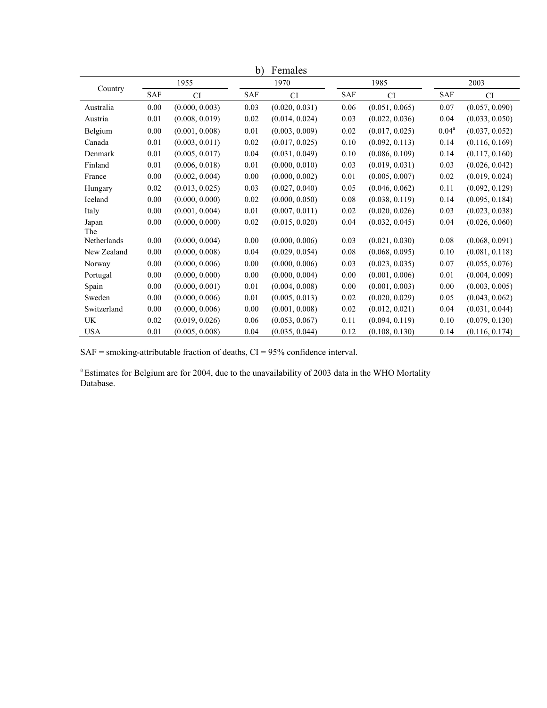|             |      |                | D)   | remales        |            |                |            |                |
|-------------|------|----------------|------|----------------|------------|----------------|------------|----------------|
| Country     | 1955 |                | 1970 |                | 1985       |                | 2003       |                |
|             | SAF  | <b>CI</b>      | SAF  | CI             | <b>SAF</b> | CI             | <b>SAF</b> | CI             |
| Australia   | 0.00 | (0.000, 0.003) | 0.03 | (0.020, 0.031) | 0.06       | (0.051, 0.065) | 0.07       | (0.057, 0.090) |
| Austria     | 0.01 | (0.008, 0.019) | 0.02 | (0.014, 0.024) | 0.03       | (0.022, 0.036) | 0.04       | (0.033, 0.050) |
| Belgium     | 0.00 | (0.001, 0.008) | 0.01 | (0.003, 0.009) | 0.02       | (0.017, 0.025) | $0.04^a$   | (0.037, 0.052) |
| Canada      | 0.01 | (0.003, 0.011) | 0.02 | (0.017, 0.025) | 0.10       | (0.092, 0.113) | 0.14       | (0.116, 0.169) |
| Denmark     | 0.01 | (0.005, 0.017) | 0.04 | (0.031, 0.049) | 0.10       | (0.086, 0.109) | 0.14       | (0.117, 0.160) |
| Finland     | 0.01 | (0.006, 0.018) | 0.01 | (0.000, 0.010) | 0.03       | (0.019, 0.031) | 0.03       | (0.026, 0.042) |
| France      | 0.00 | (0.002, 0.004) | 0.00 | (0.000, 0.002) | 0.01       | (0.005, 0.007) | 0.02       | (0.019, 0.024) |
| Hungary     | 0.02 | (0.013, 0.025) | 0.03 | (0.027, 0.040) | 0.05       | (0.046, 0.062) | 0.11       | (0.092, 0.129) |
| Iceland     | 0.00 | (0.000, 0.000) | 0.02 | (0.000, 0.050) | 0.08       | (0.038, 0.119) | 0.14       | (0.095, 0.184) |
| Italy       | 0.00 | (0.001, 0.004) | 0.01 | (0.007, 0.011) | 0.02       | (0.020, 0.026) | 0.03       | (0.023, 0.038) |
| Japan       | 0.00 | (0.000, 0.000) | 0.02 | (0.015, 0.020) | 0.04       | (0.032, 0.045) | 0.04       | (0.026, 0.060) |
| The         |      |                |      |                |            |                |            |                |
| Netherlands | 0.00 | (0.000, 0.004) | 0.00 | (0.000, 0.006) | 0.03       | (0.021, 0.030) | 0.08       | (0.068, 0.091) |
| New Zealand | 0.00 | (0.000, 0.008) | 0.04 | (0.029, 0.054) | 0.08       | (0.068, 0.095) | $0.10\,$   | (0.081, 0.118) |
| Norway      | 0.00 | (0.000, 0.006) | 0.00 | (0.000, 0.006) | 0.03       | (0.023, 0.035) | 0.07       | (0.055, 0.076) |
| Portugal    | 0.00 | (0.000, 0.000) | 0.00 | (0.000, 0.004) | 0.00       | (0.001, 0.006) | 0.01       | (0.004, 0.009) |
| Spain       | 0.00 | (0.000, 0.001) | 0.01 | (0.004, 0.008) | 0.00       | (0.001, 0.003) | 0.00       | (0.003, 0.005) |
| Sweden      | 0.00 | (0.000, 0.006) | 0.01 | (0.005, 0.013) | 0.02       | (0.020, 0.029) | 0.05       | (0.043, 0.062) |
| Switzerland | 0.00 | (0.000, 0.006) | 0.00 | (0.001, 0.008) | 0.02       | (0.012, 0.021) | 0.04       | (0.031, 0.044) |
| UK          | 0.02 | (0.019, 0.026) | 0.06 | (0.053, 0.067) | 0.11       | (0.094, 0.119) | 0.10       | (0.079, 0.130) |
| <b>USA</b>  | 0.01 | (0.005, 0.008) | 0.04 | (0.035, 0.044) | 0.12       | (0.108, 0.130) | 0.14       | (0.116, 0.174) |

b) Females

 $SAF =$  smoking-attributable fraction of deaths,  $CI = 95%$  confidence interval.

<sup>a</sup> Estimates for Belgium are for 2004, due to the unavailability of 2003 data in the WHO Mortality Database.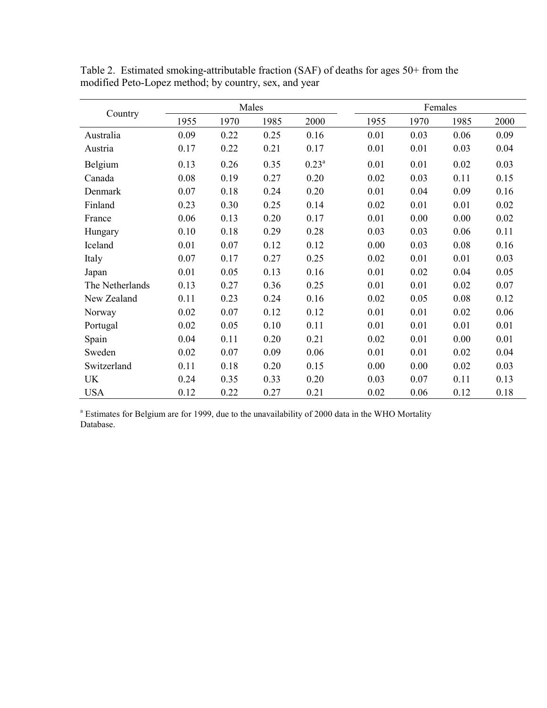|                 |      |      | Males |          | Females |      |      |      |
|-----------------|------|------|-------|----------|---------|------|------|------|
| Country         | 1955 | 1970 | 1985  | 2000     | 1955    | 1970 | 1985 | 2000 |
| Australia       | 0.09 | 0.22 | 0.25  | 0.16     | 0.01    | 0.03 | 0.06 | 0.09 |
| Austria         | 0.17 | 0.22 | 0.21  | 0.17     | 0.01    | 0.01 | 0.03 | 0.04 |
| Belgium         | 0.13 | 0.26 | 0.35  | $0.23^a$ | 0.01    | 0.01 | 0.02 | 0.03 |
| Canada          | 0.08 | 0.19 | 0.27  | 0.20     | 0.02    | 0.03 | 0.11 | 0.15 |
| Denmark         | 0.07 | 0.18 | 0.24  | 0.20     | 0.01    | 0.04 | 0.09 | 0.16 |
| Finland         | 0.23 | 0.30 | 0.25  | 0.14     | 0.02    | 0.01 | 0.01 | 0.02 |
| France          | 0.06 | 0.13 | 0.20  | 0.17     | 0.01    | 0.00 | 0.00 | 0.02 |
| Hungary         | 0.10 | 0.18 | 0.29  | 0.28     | 0.03    | 0.03 | 0.06 | 0.11 |
| Iceland         | 0.01 | 0.07 | 0.12  | 0.12     | 0.00    | 0.03 | 0.08 | 0.16 |
| Italy           | 0.07 | 0.17 | 0.27  | 0.25     | 0.02    | 0.01 | 0.01 | 0.03 |
| Japan           | 0.01 | 0.05 | 0.13  | 0.16     | 0.01    | 0.02 | 0.04 | 0.05 |
| The Netherlands | 0.13 | 0.27 | 0.36  | 0.25     | 0.01    | 0.01 | 0.02 | 0.07 |
| New Zealand     | 0.11 | 0.23 | 0.24  | 0.16     | 0.02    | 0.05 | 0.08 | 0.12 |
| Norway          | 0.02 | 0.07 | 0.12  | 0.12     | 0.01    | 0.01 | 0.02 | 0.06 |
| Portugal        | 0.02 | 0.05 | 0.10  | 0.11     | 0.01    | 0.01 | 0.01 | 0.01 |
| Spain           | 0.04 | 0.11 | 0.20  | 0.21     | 0.02    | 0.01 | 0.00 | 0.01 |
| Sweden          | 0.02 | 0.07 | 0.09  | 0.06     | 0.01    | 0.01 | 0.02 | 0.04 |
| Switzerland     | 0.11 | 0.18 | 0.20  | 0.15     | 0.00    | 0.00 | 0.02 | 0.03 |
| UK              | 0.24 | 0.35 | 0.33  | 0.20     | 0.03    | 0.07 | 0.11 | 0.13 |
| <b>USA</b>      | 0.12 | 0.22 | 0.27  | 0.21     | 0.02    | 0.06 | 0.12 | 0.18 |

Table 2. Estimated smoking-attributable fraction (SAF) of deaths for ages 50+ from the modified Peto-Lopez method; by country, sex, and year

<sup>a</sup> Estimates for Belgium are for 1999, due to the unavailability of 2000 data in the WHO Mortality Database.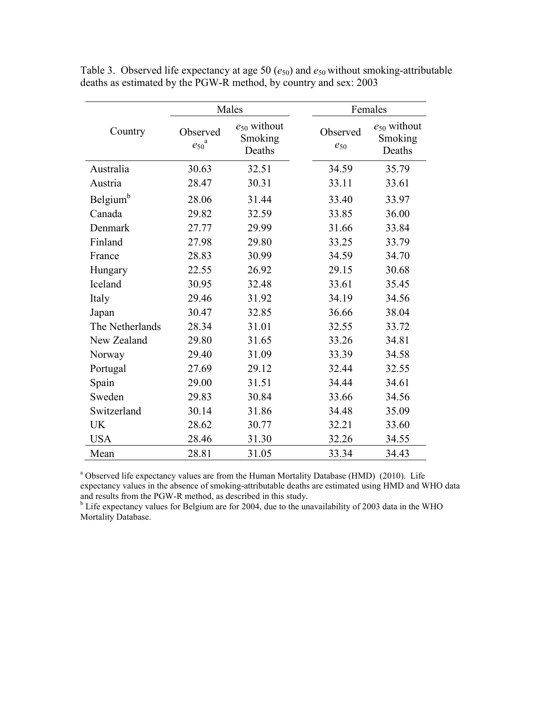|                      |                                    | Males                                 |  | Females              |                                       |  |  |
|----------------------|------------------------------------|---------------------------------------|--|----------------------|---------------------------------------|--|--|
| Country              | Observed<br>$e_{50}^{\phantom{5}}$ | $e_{50}$ without<br>Smoking<br>Deaths |  | Observed<br>$e_{50}$ | $e_{50}$ without<br>Smoking<br>Deaths |  |  |
| Australia            | 30.63                              | 32.51                                 |  | 34.59                | 35.79                                 |  |  |
| Austria              | 28.47                              | 30.31                                 |  | 33.11                | 33.61                                 |  |  |
| Belgium <sup>b</sup> | 28.06                              | 31.44                                 |  | 33.40                | 33.97                                 |  |  |
| Canada               | 29.82                              | 32.59                                 |  | 33.85                | 36.00                                 |  |  |
| Denmark              | 27.77                              | 29.99                                 |  | 31.66                | 33.84                                 |  |  |
| Finland              | 27.98                              | 29.80                                 |  | 33.25                | 33.79                                 |  |  |
| France               | 28.83                              | 30.99                                 |  | 34.59                | 34.70                                 |  |  |
| Hungary              | 22.55                              | 26.92                                 |  | 29.15                | 30.68                                 |  |  |
| Iceland              | 30.95                              | 32.48                                 |  | 33.61                | 35.45                                 |  |  |
| Italy                | 29.46                              | 31.92                                 |  | 34.19                | 34.56                                 |  |  |
| Japan                | 30.47                              | 32.85                                 |  | 36.66                | 38.04                                 |  |  |
| The Netherlands      | 28.34                              | 31.01                                 |  | 32.55                | 33.72                                 |  |  |
| New Zealand          | 29.80                              | 31.65                                 |  | 33.26                | 34.81                                 |  |  |
| Norway               | 29.40                              | 31.09                                 |  | 33.39                | 34.58                                 |  |  |
| Portugal             | 27.69                              | 29.12                                 |  | 32.44                | 32.55                                 |  |  |
| Spain                | 29.00                              | 31.51                                 |  | 34.44                | 34.61                                 |  |  |
| Sweden               | 29.83                              | 30.84                                 |  | 33.66                | 34.56                                 |  |  |
| Switzerland          | 30.14                              | 31.86                                 |  | 34.48                | 35.09                                 |  |  |
| <b>UK</b>            | 28.62                              | 30.77                                 |  | 32.21                | 33.60                                 |  |  |
| <b>USA</b>           | 28.46                              | 31.30                                 |  | 32.26                | 34.55                                 |  |  |
| Mean                 | 28.81                              | 31.05                                 |  | 33.34                | 34.43                                 |  |  |

Table 3. Observed life expectancy at age 50  $(e_{50})$  and  $e_{50}$  without smoking-attributable deaths as estimated by the PGW-R method, by country and sex: 2003

<sup>a</sup> Observed life expectancy values are from the Human Mortality Database (HMD) (2010). Life expectancy values in the absence of smoking-attributable deaths are estimated using HMD and WHO data and results from the PGW-R method, as described in this study.

<sup>b</sup> Life expectancy values for Belgium are for 2004, due to the unavailability of 2003 data in the WHO Mortality Database.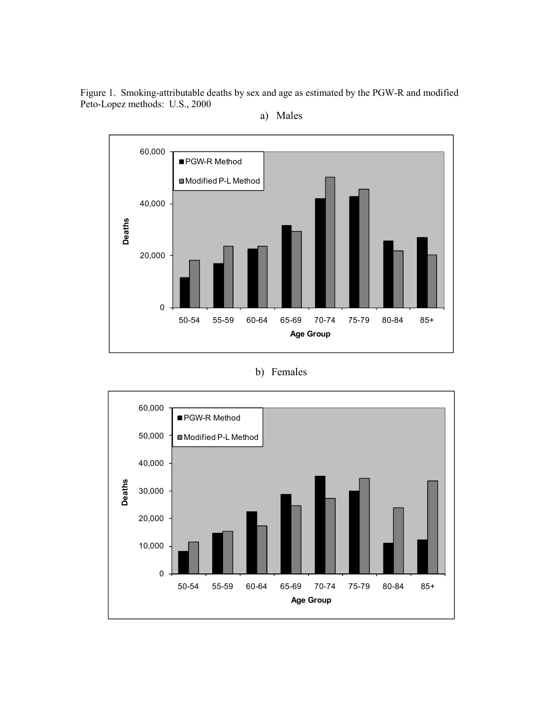Figure 1. Smoking-attributable deaths by sex and age as estimated by the PGW-R and modified Peto-Lopez methods: U.S., 2000





# b) Females

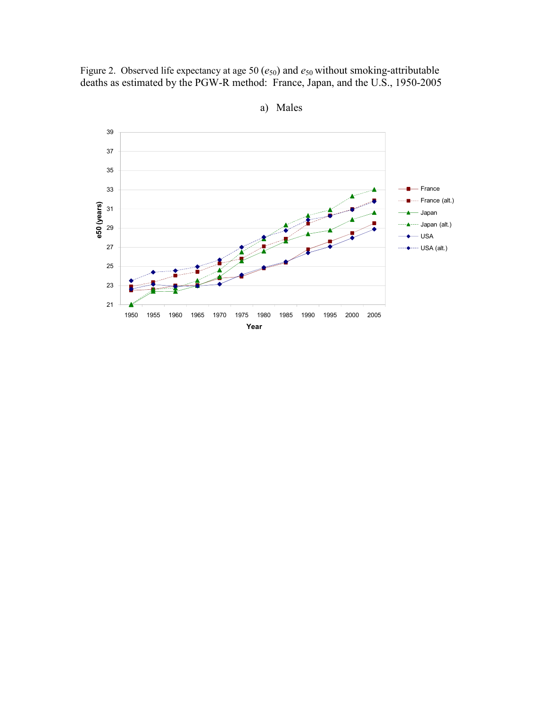Figure 2. Observed life expectancy at age 50 ( $e_{50}$ ) and  $e_{50}$  without smoking-attributable deaths as estimated by the PGW-R method: France, Japan, and the U.S., 1950-2005



a) Males